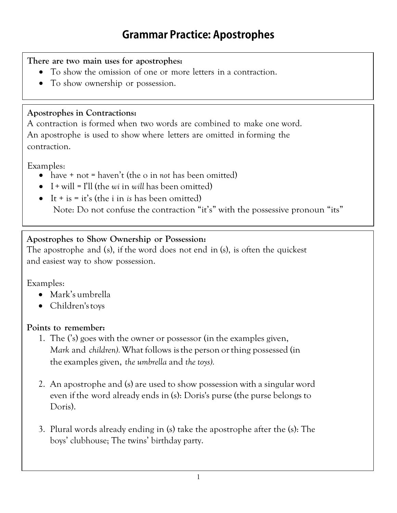### **There are two main uses for apostrophes:**

- To show the omission of one or more letters in a contraction.
- To show ownership or possession.

### **Apostrophes in Contractions:**

A contraction is formed when two words are combined to make one word. An apostrophe is used to show where letters are omitted in forming the contraction.

Examples:

- have + not = haven't (the o in *not* has been omitted)
- $\bullet$  I + will = I'll (the *wi* in *will* has been omitted)
- $\bullet$  It + is = it's (the i in *is* has been omitted) Note: Do not confuse the contraction "it's" with the possessive pronoun "its"

## **Apostrophes to Show Ownership or Possession:**

The apostrophe and (s), if the word does not end in (s), is often the quickest and easiest way to show possession.

Examples:

- Mark's umbrella
- Children's toys

### **Points to remember:**

- 1. The ('s) goes with the owner or possessor (in the examples given, *Mark* and *children).*What follows isthe person orthing possessed (in the examples given, *the umbrella* and *the toys).*
- 2. An apostrophe and (s) are used to show possession with a singular word even if the word already ends in (s): Doris's purse (the purse belongs to Doris).
- 3. Plural words already ending in (s) take the apostrophe after the (s): The boys' clubhouse; The twins' birthday party.